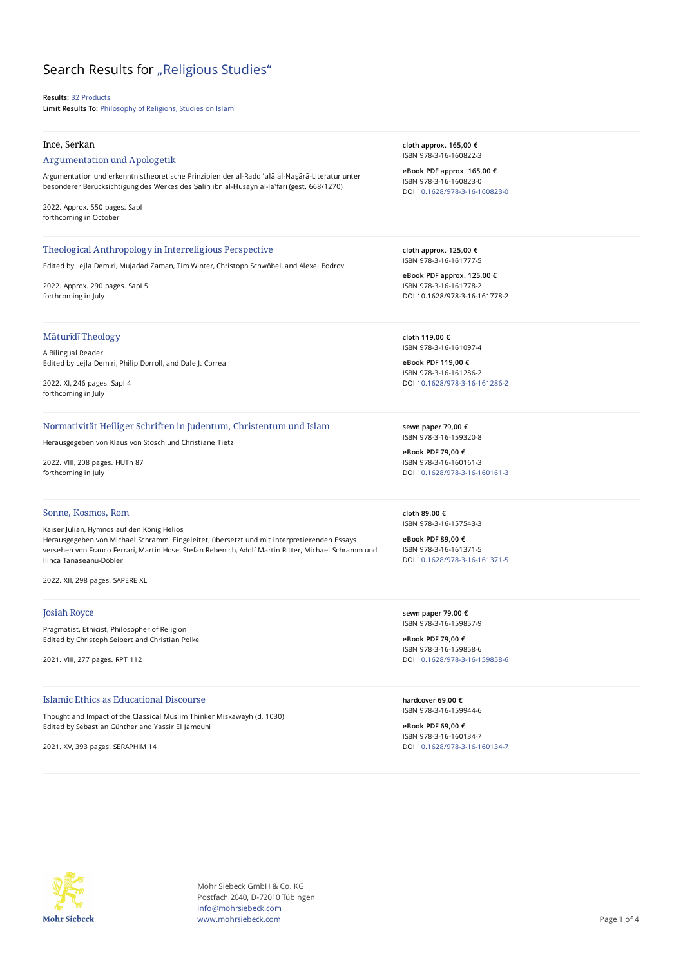# Search Results for "Religious Studies"

**Results:** 32 Products **Limit Results To:** Philosophy of Religions, Studies on Islam

#### Ince, Serkan

#### Argumentation und Apologetik

Argumentation und erkenntnistheoretische Prinzipien der al-Radd ʿalā al-Naṣārā-Literatur unter besonderer Berücksichtigung des Werkes des Ṣāliḥ ibn al-Ḥusayn al-Jaʿfarī (gest. 668/1270)

2022. Approx. 550 pages. SapI forthcoming in October

#### Theological Anthropology in Interreligious Perspective

Edited by Lejla Demiri, Mujadad Zaman, Tim Winter, Christoph Schwöbel, and Alexei Bodrov

2022. Approx. 290 pages. SapI 5 forthcoming in July

#### Māturīdī Theology

A Bilingual Reader Edited by Lejla Demiri, Philip Dorroll, and Dale J. Correa

2022. XI, 246 pages. SapI 4 forthcoming in July

#### Normativität Heiliger Schriften in Judentum, Christentum und Islam

Herausgegeben von Klaus von Stosch und Christiane Tietz

2022. VIII, 208 pages. HUTh 87 forthcoming in July

### Sonne, Kosmos, Rom

Kaiser Julian, Hymnos auf den König Helios Herausgegeben von Michael Schramm. Eingeleitet, übersetzt und mit interpretierenden Essays versehen von Franco Ferrari, Martin Hose, Stefan Rebenich, Adolf Martin Ritter, Michael Schramm und Ilinca Tanaseanu-Döbler

2022. XII, 298 pages. SAPERE XL

#### Josiah Royce

Pragmatist, Ethicist, Philosopher of Religion Edited by Christoph Seibert and Christian Polke

2021. VIII, 277 pages. RPT 112

## Islamic Ethics as Educational Discourse

Thought and Impact of the Classical Muslim Thinker Miskawayh (d. 1030) Edited by Sebastian Günther and Yassir El Jamouhi

2021. XV, 393 pages. SERAPHIM 14

**cloth approx. 165,00 €** ISBN 978-3-16-160822-3

**eBook PDF approx. 165,00 €** ISBN 978-3-16-160823-0 DOI [10.1628/978-3-16-160823-0](https://doi.org/10.1628/978-3-16-160823-0)

**cloth approx. 125,00 €** ISBN 978-3-16-161777-5

**eBook PDF approx. 125,00 €** ISBN 978-3-16-161778-2 DOI 10.1628/978-3-16-161778-2

**cloth 119,00 €** ISBN 978-3-16-161097-4

**eBook PDF 119,00 €** ISBN 978-3-16-161286-2 DOI [10.1628/978-3-16-161286-2](https://doi.org/10.1628/978-3-16-161286-2)

**sewn paper 79,00 €** ISBN 978-3-16-159320-8

**eBook PDF 79,00 €** ISBN 978-3-16-160161-3 DOI [10.1628/978-3-16-160161-3](https://doi.org/10.1628/978-3-16-160161-3)

**cloth 89,00 €** ISBN 978-3-16-157543-3

**eBook PDF 89,00 €** ISBN 978-3-16-161371-5 DOI [10.1628/978-3-16-161371-5](https://doi.org/10.1628/978-3-16-161371-5)

**sewn paper 79,00 €** ISBN 978-3-16-159857-9

**eBook PDF 79,00 €** ISBN 978-3-16-159858-6 DOI [10.1628/978-3-16-159858-6](https://doi.org/10.1628/978-3-16-159858-6)

**hardcover 69,00 €** ISBN 978-3-16-159944-6

**eBook PDF 69,00 €** ISBN 978-3-16-160134-7 DOI [10.1628/978-3-16-160134-7](https://doi.org/10.1628/978-3-16-160134-7)



Mohr Siebeck GmbH & Co. KG Postfach 2040, D-72010 Tübingen info@mohrsiebeck.com www.mohrsiebeck.com **Page 1 of 4**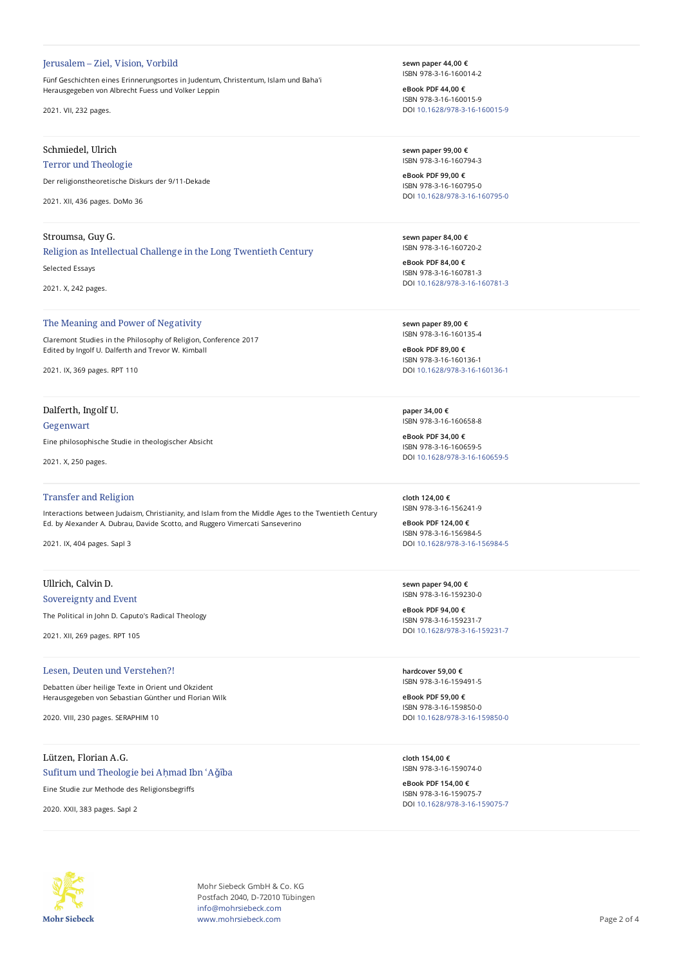#### Jerusalem – Ziel, Vision, Vorbild

Fünf Geschichten eines Erinnerungsortes in Judentum, Christentum, Islam und Baha'i Herausgegeben von Albrecht Fuess und Volker Leppin

2021. VII, 232 pages.

## Schmiedel, Ulrich

#### Terror und Theologie

Der religionstheoretische Diskurs der 9/11-Dekade

2021. XII, 436 pages. DoMo 36

### Stroumsa, Guy G.

## Religion as Intellectual Challenge in the Long Twentieth Century

Selected Essays

2021. X, 242 pages.

#### The Meaning and Power of Negativity

Claremont Studies in the Philosophy of Religion, Conference 2017 Edited by Ingolf U. Dalferth and Trevor W. Kimball

2021. IX, 369 pages. RPT 110

## Dalferth, Ingolf U.

#### Gegenwart

Eine philosophische Studie in theologischer Absicht

2021. X, 250 pages.

## Transfer and Religion

Interactions between Judaism, Christianity, and Islam from the Middle Ages to the Twentieth Century Ed. by Alexander A. Dubrau, Davide Scotto, and Ruggero Vimercati Sanseverino

2021. IX, 404 pages. SapI 3

## Ullrich, Calvin D.

## Sovereignty and Event

The Political in John D. Caputo's Radical Theology

2021. XII, 269 pages. RPT 105

#### Lesen, Deuten und Verstehen?!

Debatten über heilige Texte in Orient und Okzident Herausgegeben von Sebastian Günther und Florian Wilk

2020. VIII, 230 pages. SERAPHIM 10

## Lützen, Florian A.G. Sufitum und Theologie bei Aḥmad Ibn ʿAǧība

Eine Studie zur Methode des Religionsbegriffs

2020. XXII, 383 pages. SapI 2

**sewn paper 44,00 €** ISBN 978-3-16-160014-2

**eBook PDF 44,00 €** ISBN 978-3-16-160015-9 DOI [10.1628/978-3-16-160015-9](https://doi.org/10.1628/978-3-16-160015-9)

**sewn paper 99,00 €** ISBN 978-3-16-160794-3

**eBook PDF 99,00 €** ISBN 978-3-16-160795-0 DOI [10.1628/978-3-16-160795-0](https://doi.org/10.1628/978-3-16-160795-0)

**sewn paper 84,00 €** ISBN 978-3-16-160720-2

**eBook PDF 84,00 €** ISBN 978-3-16-160781-3 DOI [10.1628/978-3-16-160781-3](https://doi.org/10.1628/978-3-16-160781-3)

**sewn paper 89,00 €** ISBN 978-3-16-160135-4

**eBook PDF 89,00 €** ISBN 978-3-16-160136-1 DOI [10.1628/978-3-16-160136-1](https://doi.org/10.1628/978-3-16-160136-1)

**paper 34,00 €** . .<br>ISBN 978-3-16-160658-8

**eBook PDF 34,00 €** ISBN 978-3-16-160659-5 DOI [10.1628/978-3-16-160659-5](https://doi.org/10.1628/978-3-16-160659-5)

**cloth 124,00 €** ISBN 978-3-16-156241-9

**eBook PDF 124,00 €** ISBN 978-3-16-156984-5 DOI [10.1628/978-3-16-156984-5](https://doi.org/10.1628/978-3-16-156984-5)

**sewn paper 94,00 €** ISBN 978-3-16-159230-0

**eBook PDF 94,00 €** ISBN 978-3-16-159231-7 DOI [10.1628/978-3-16-159231-7](https://doi.org/10.1628/978-3-16-159231-7)

**hardcover 59,00 €** ISBN 978-3-16-159491-5

**eBook PDF 59,00 €** ISBN 978-3-16-159850-0 DOI [10.1628/978-3-16-159850-0](https://doi.org/10.1628/978-3-16-159850-0)

**cloth 154,00 €** ISBN 978-3-16-159074-0

**eBook PDF 154,00 €** ISBN 978-3-16-159075-7 DOI [10.1628/978-3-16-159075-7](https://doi.org/10.1628/978-3-16-159075-7)



Mohr Siebeck GmbH & Co. KG Postfach 2040, D-72010 Tübingen info@mohrsiebeck.com www.mohrsiebeck.com **Page 2 of 4**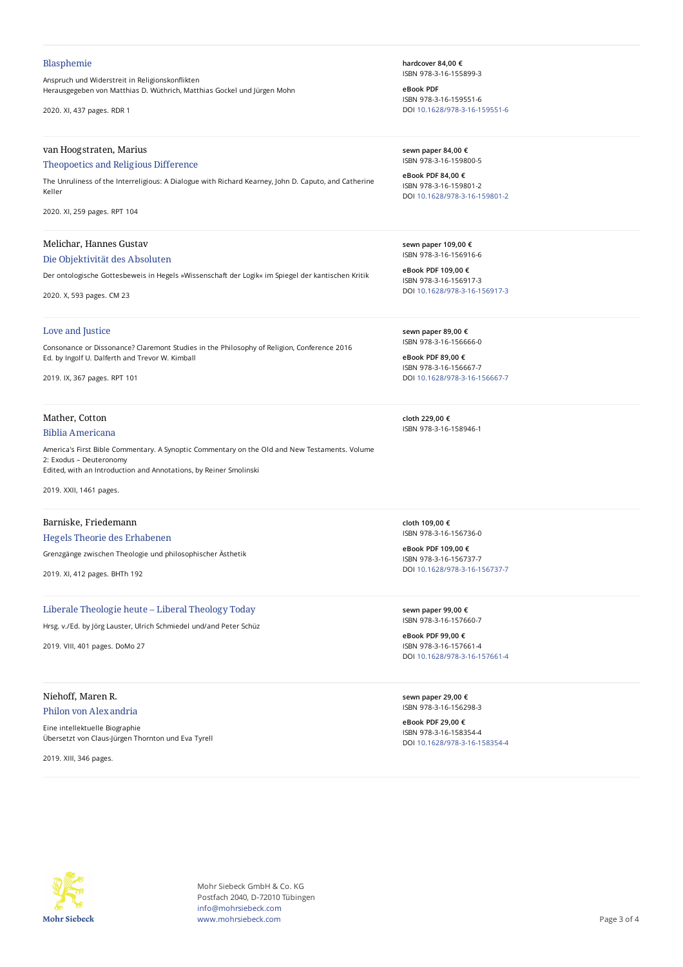#### Blasphemie

Anspruch und Widerstreit in Religionskonflikten Herausgegeben von Matthias D. Wüthrich, Matthias Gockel und Jürgen Mohn

2020. XI, 437 pages. RDR 1

## van Hoogstraten, Marius

#### Theopoetics and Religious Difference

The Unruliness of the Interreligious: A Dialogue with Richard Kearney, John D. Caputo, and Catherine Keller

2020. XI, 259 pages. RPT 104

#### Melichar, Hannes Gustav

## Die Objektivität des Absoluten

Der ontologische Gottesbeweis in Hegels »Wissenschaft der Logik« im Spiegel der kantischen Kritik

2020. X, 593 pages. CM 23

#### Love and Justice

Consonance or Dissonance? Claremont Studies in the Philosophy of Religion, Conference 2016 Ed. by Ingolf U. Dalferth and Trevor W. Kimball

2019. IX, 367 pages. RPT 101

## Mather, Cotton

#### Biblia Americana

America's First Bible Commentary. A Synoptic Commentary on the Old and New Testaments. Volume 2: Exodus – Deuteronomy Edited, with an Introduction and Annotations, by Reiner Smolinski

2019. XXII, 1461 pages.

## Barniske, Friedemann

## Hegels Theorie des Erhabenen

Grenzgänge zwischen Theologie und philosophischer Ästhetik

2019. XI, 412 pages. BHTh 192

## Liberale Theologie heute – Liberal Theology Today

Hrsg. v./Ed. by Jörg Lauster, Ulrich Schmiedel und/and Peter Schüz

2019. VIII, 401 pages. DoMo 27

## Niehoff, Maren R.

#### Philon von Alexandria

Eine intellektuelle Biographie Übersetzt von Claus-Jürgen Thornton und Eva Tyrell

2019. XIII, 346 pages.

**hardcover 84,00 €** ISBN 978-3-16-155899-3

**eBook PDF** ISBN 978-3-16-159551-6 DOI [10.1628/978-3-16-159551-6](https://doi.org/10.1628/978-3-16-159551-6)

**sewn paper 84,00 €** ISBN 978-3-16-159800-5

**eBook PDF 84,00 €** ISBN 978-3-16-159801-2 DOI [10.1628/978-3-16-159801-2](https://doi.org/10.1628/978-3-16-159801-2)

**sewn paper 109,00 €** ISBN 978-3-16-156916-6

**eBook PDF 109,00 €** ISBN 978-3-16-156917-3 DOI [10.1628/978-3-16-156917-3](https://doi.org/10.1628/978-3-16-156917-3)

**sewn paper 89,00 €** ISBN 978-3-16-156666-0

**eBook PDF 89,00 €** ISBN 978-3-16-156667-7 DOI [10.1628/978-3-16-156667-7](https://doi.org/10.1628/978-3-16-156667-7)

**cloth 229,00 €** ISBN 978-3-16-158946-1

**cloth 109,00 €** ISBN 978-3-16-156736-0

**eBook PDF 109,00 €** ISBN 978-3-16-156737-7 DOI [10.1628/978-3-16-156737-7](https://doi.org/10.1628/978-3-16-156737-7)

**sewn paper 99,00 €** ISBN 978-3-16-157660-7

**eBook PDF 99,00 €** ISBN 978-3-16-157661-4 DOI [10.1628/978-3-16-157661-4](https://doi.org/10.1628/978-3-16-157661-4)

**sewn paper 29,00 €** ISBN 978-3-16-156298-3

**eBook PDF 29,00 €** ISBN 978-3-16-158354-4 DOI [10.1628/978-3-16-158354-4](https://doi.org/10.1628/978-3-16-158354-4)



Mohr Siebeck GmbH & Co. KG Postfach 2040, D-72010 Tübingen info@mohrsiebeck.com www.mohrsiebeck.com **Page 3 of 4**